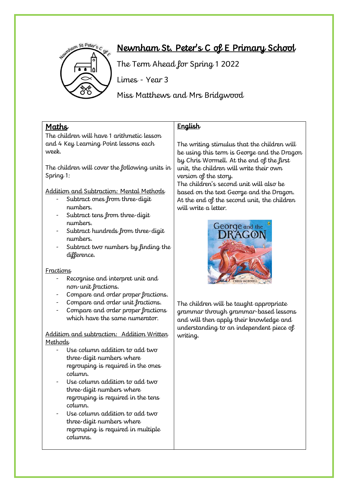

# Newnham St. Peter's C of E Primary School

The Term Ahead for Spring 1 2022

Limes - Year 3

Miss Matthews and Mrs Bridgwood

### Maths

The children will have 1 arithmetic lesson and 4 Key Learning Point lessons each week.

The children will cover the following units in Spring 1:

Addition and Subtraction: Mental Methods

- Subtract ones from three-digit numbers.
- Subtract tens from three-digit numbers.
- Subtract hundreds from three-digit numbers.
- Subtract two numbers by finding the difference.

#### **Fractions**

- Recognise and interpret unit and non-unit fractions.
- Compare and order proper fractions.
- Compare and order unit fractions.
- Compare and order proper fractions which have the same numerator.

Addition and subtraction: Addition Written **Methods** 

- Use column addition to add two three-digit numbers where regrouping is required in the ones column.
- Use column addition to add two three-digit numbers where regrouping is required in the tens column.
- Use column addition to add two three-digit numbers where regrouping is required in multiple columns.

## **English**

The writing stimulus that the children will be using this term is George and the Dragon by Chris Wormell. At the end of the first unit, the children will write their own version of the story.

The children's second unit will also be based on the text George and the Dragon. At the end of the second unit, the children will write a letter.



The children will be taught appropriate grammar through grammar-based lessons and will then apply their knowledge and understanding to an independent piece of writing.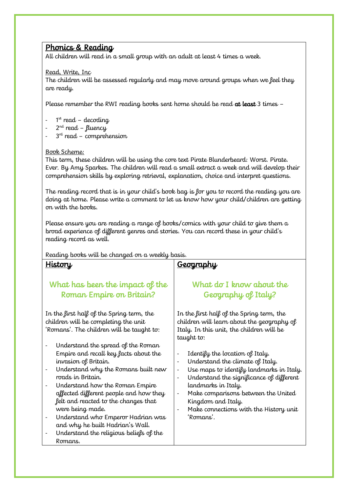### Phonics & Reading

All children will read in a small group with an adult at least 4 times a week.

#### Read, Write, Inc

The children will be assessed regularly and may move around groups when we feel they are ready.

Please remember the RWI reading books sent home should be read at least 3 times -

- 1 st read decoding
- 2<sup>nd</sup> read fluency
- 3<sup>rd</sup> read comprehension

#### Book Scheme:

This term, these children will be using the core text Pirate Blunderbeard: Worst. Pirate. Ever. By Amy Sparkes. The children will read a small extract a week and will develop their comprehension skills by exploring retrieval, explanation, choice and interpret questions.

The reading record that is in your child's book bag is for you to record the reading you are doing at home. Please write a comment to let us know how your child/children are getting on with the books.

Please ensure you are reading a range of books/comics with your child to give them a broad experience of different genres and stories. You can record these in your child's reading record as well.

#### Reading books will be changed on a weekly basis.

#### **History**

# What has been the impact of the Roman Empire on Britain?

In the first half of the Spring term, the children will be completing the unit 'Romans'. The children will be taught to:

- Understand the spread of the Roman Empire and recall key facts about the invasion of Britain.
- Understand why the Romans built new roads in Britain.
- Understand how the Roman Empire affected different people and how they felt and reacted to the changes that were being made.
- Understand who Emperor Hadrian was and why he built Hadrian's Wall.
- Understand the religious beliefs of the Romans.

### **Geography**

# What do I know about the Geography of Italy?

In the first half of the Spring term, the children will learn about the geography of Italy. In this unit, the children will be taught to:

- Identify the location of Italy.
- Understand the climate of Italy.
- Use maps to identify landmarks in Italy.
- Understand the significance of different landmarks in Italy.
- Make comparisons between the United Kingdom and Italy.
	- Make connections with the History unit 'Romans'.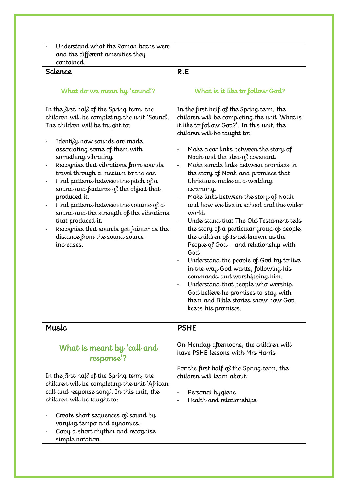| Understand what the Roman baths were<br>and the different amenities they<br>contained.                                                                                                                                                                                                                                                                                                                                                                                                                                                                                                                                                                                                                                             |                                                                                                                                                                                                                                                                                                                                                                                                                                                                                                                                                                                                                                                                                                                                                                                                                                                                                                                                                                                                         |
|------------------------------------------------------------------------------------------------------------------------------------------------------------------------------------------------------------------------------------------------------------------------------------------------------------------------------------------------------------------------------------------------------------------------------------------------------------------------------------------------------------------------------------------------------------------------------------------------------------------------------------------------------------------------------------------------------------------------------------|---------------------------------------------------------------------------------------------------------------------------------------------------------------------------------------------------------------------------------------------------------------------------------------------------------------------------------------------------------------------------------------------------------------------------------------------------------------------------------------------------------------------------------------------------------------------------------------------------------------------------------------------------------------------------------------------------------------------------------------------------------------------------------------------------------------------------------------------------------------------------------------------------------------------------------------------------------------------------------------------------------|
| Science                                                                                                                                                                                                                                                                                                                                                                                                                                                                                                                                                                                                                                                                                                                            | <u>R.E</u>                                                                                                                                                                                                                                                                                                                                                                                                                                                                                                                                                                                                                                                                                                                                                                                                                                                                                                                                                                                              |
| What do we mean by 'sound'?                                                                                                                                                                                                                                                                                                                                                                                                                                                                                                                                                                                                                                                                                                        | What is it like to follow God?                                                                                                                                                                                                                                                                                                                                                                                                                                                                                                                                                                                                                                                                                                                                                                                                                                                                                                                                                                          |
| In the first half of the Spring term, the<br>children will be completing the unit 'Sound'.<br>The children will be taught to:<br>Identify how sounds are made,<br>$\overline{\phantom{a}}$<br>associating some of them with<br>something vibrating.<br>Recognise that vibrations from sounds<br>$\overline{\phantom{a}}$<br>travel through a medium to the ear.<br>Find patterns between the pitch of $a$<br>$\overline{\phantom{a}}$<br>sound and features of the object that<br>produced it.<br>Find patterns between the volume of $a$<br>$\overline{\phantom{a}}$<br>sound and the strength of the vibrations<br>that produced it.<br>Recognise that sounds get fainter as the<br>distance from the sound source<br>increases. | In the first half of the Spring term, the<br>children will be completing the unit 'What is<br>it like to follow God?'. In this unit, the<br>children will be taught to:<br>Make clear links between the story of<br>Noah and the idea of covenant.<br>Make simple links between promises in<br>$\qquad \qquad -$<br>the story of Noah and promises that<br>Christians make at a wedding<br>ceremony.<br>Make links between the story of Noah<br>$\qquad \qquad -$<br>and how we live in school and the wider<br>world.<br>Understand that The Old Testament tells<br>the story of a particular group of people,<br>the children of Israel known as the<br>People of God - and relationship with<br>God.<br>Understand the people of God try to live<br>in the way God wants, following his<br>commands and worshipping him.<br>Understand that people who worship<br>$\qquad \qquad \blacksquare$<br>God believe he promises to stay with<br>them and Bible stories show how God<br>keeps his promises. |
| Music                                                                                                                                                                                                                                                                                                                                                                                                                                                                                                                                                                                                                                                                                                                              | <u>PSHE</u>                                                                                                                                                                                                                                                                                                                                                                                                                                                                                                                                                                                                                                                                                                                                                                                                                                                                                                                                                                                             |
| What is meant by 'call and<br>response?                                                                                                                                                                                                                                                                                                                                                                                                                                                                                                                                                                                                                                                                                            | On Monday afternoons, the children will<br>have PSHE lessons with Mrs Harris.                                                                                                                                                                                                                                                                                                                                                                                                                                                                                                                                                                                                                                                                                                                                                                                                                                                                                                                           |
| In the first half of the Spring term, the<br>children will be completing the unit 'African<br>call and response song'. In this unit, the<br>children will be taught to:                                                                                                                                                                                                                                                                                                                                                                                                                                                                                                                                                            | For the first half of the Spring term, the<br>children will learn about:<br>Personal hygiene<br>Health and relationships<br>$\qquad \qquad -$                                                                                                                                                                                                                                                                                                                                                                                                                                                                                                                                                                                                                                                                                                                                                                                                                                                           |
| Create short sequences of sound by<br>varying tempo and dynamics.<br>Copy a short rhythm and recognise<br>simple notation.                                                                                                                                                                                                                                                                                                                                                                                                                                                                                                                                                                                                         |                                                                                                                                                                                                                                                                                                                                                                                                                                                                                                                                                                                                                                                                                                                                                                                                                                                                                                                                                                                                         |